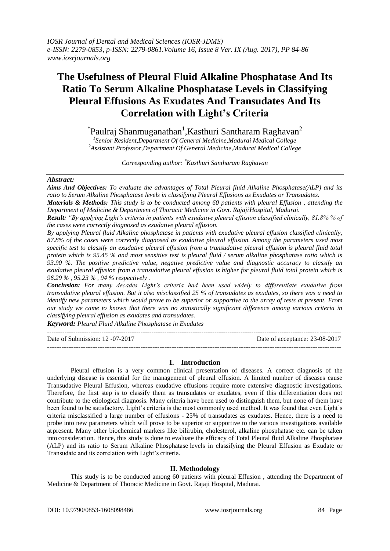# **The Usefulness of Pleural Fluid Alkaline Phosphatase And Its Ratio To Serum Alkaline Phosphatase Levels in Classifying Pleural Effusions As Exudates And Transudates And Its Correlation with Light's Criteria**

 $\mathrm{``Paulraj}$  Shanmuganathan $\mathrm{^{1},K}$ asthuri Santharam Raghavan $\mathrm{^{2}}$ *1 Senior Resident,Department Of General Medicine,Madurai Medical College <sup>2</sup>Assistant Professor,Department Of General Medicine,Madurai Medical College*

*Corresponding author: \*Kasthuri Santharam Raghavan*

#### *Abstract:*

*Aims And Objectives: To evaluate the advantages of Total Pleural fluid Alkaline Phosphatase(ALP) and its ratio to Serum Alkaline Phosphatase levels in classifying Pleural Effusions as Exudates or Transudates.*

*Materials & Methods: This study is to be conducted among 60 patients with pleural Effusion , attending the Department of Medicine & Department of Thoracic Medicine in Govt. RajajiHospital, Madurai.*

*Result: "By applying Light's criteria in patients with exudative pleural effusion classified clinically, 81.8% % of the cases were correctly diagnosed as exudative pleural effusion.*

*By applying Pleural fluid Alkaline phosphatase in patients with exudative pleural effusion classified clinically, 87.8% of the cases were correctly diagnosed as exudative pleural effusion. Among the parameters used most specific test to classify an exudative pleural effusion from a transudative pleural effusion is pleural fluid total protein which is 95.45 % and most sensitive test is pleural fluid / serum alkaline phosphatase ratio which is 93.90 %. The positive predictive value, negative predictive value and diagnostic accuracy to classify an exudative pleural effusion from a transudative pleural effusion is higher for pleural fluid total protein which is 96.29 % , 95.23 % , 94 % respectively .*

*Conclusion: For many decades Light's criteria had been used widely to differentiate exudative from transudative pleural effusion. But it also misclassified 25 % of transudates as exudates, so there was a need to identify new parameters which would prove to be superior or supportive to the array of tests at present. From our study we came to known that there was no statistically significant difference among various criteria in classifying pleural effusion as exudates and transudates.*

*Keyword: Pleural Fluid Alkaline Phosphatase in Exudates*

Date of Submission: 12 -07-2017 Date of acceptance: 23-08-2017

**---------------------------------------------------------------------------------------------------------------------------**

**---------------------------------------------------------------------------------------------------------------------------------------**

# **I. Introduction**

Pleural effusion is a very common clinical presentation of diseases. A correct diagnosis of the underlying disease is essential for the management of pleural effusion. A limited number of diseases cause Transudative Pleural Effusion, whereas exudative effusions require more extensive diagnostic investigations. Therefore, the first step is to classify them as transudates or exudates, even if this differentiation does not contribute to the etiological diagnosis. Many criteria have been used to distinguish them, but none of them have been found to be satisfactory. Light's criteria is the most commonly used method. It was found that even Light's criteria misclassified a large number of effusions - 25% of transudates as exudates. Hence, there is a need to probe into new parameters which will prove to be superior or supportive to the various investigations available at present. Many other biochemical markers like bilirubin, cholesterol, alkaline phosphatase etc. can be taken into consideration. Hence, this study is done to evaluate the efficacy of Total Pleural fluid Alkaline Phosphatase (ALP) and its ratio to Serum Alkaline Phosphatase levels in classifying the Pleural Effusion as Exudate or Transudate and its correlation with Light's criteria.

# **II. Methodology**

This study is to be conducted among 60 patients with pleural Effusion , attending the Department of Medicine & Department of Thoracic Medicine in Govt. Rajaji Hospital, Madurai.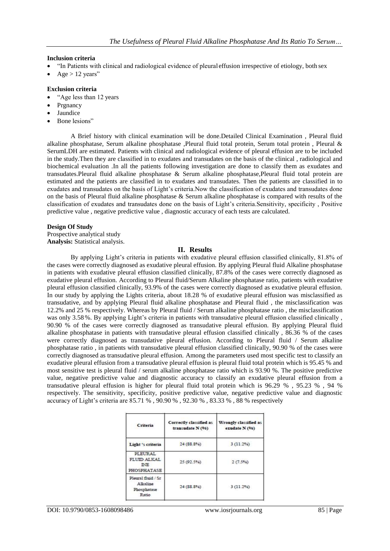### **Inclusion criteria**

- "In Patients with clinical and radiological evidence of pleural effusion irrespective of etiology, both sex
- $Aee > 12$  years"

#### **Exclusion criteria**

- "Age less than 12 years
- Prgnancy
- Jaundice
- Bone lesions"

A Brief history with clinical examination will be done.Detailed Clinical Examination , Pleural fluid alkaline phosphatase, Serum alkaline phosphatase ,Pleural fluid total protein, Serum total protein , Pleural & SerumLDH are estimated. Patients with clinical and radiological evidence of pleural effusion are to be included in the study.Then they are classified in to exudates and transudates on the basis of the clinical , radiological and biochemical evaluation .In all the patients following investigation are done to classify them as exudates and transudates.Pleural fluid alkaline phosphatase & Serum alkaline phosphatase,Pleural fluid total protein are estimated and the patients are classified in to exudates and transudates. Then the patients are classified in to exudates and transudates on the basis of Light's criteria.Now the classification of exudates and transudates done on the basis of Pleural fluid alkaline phosphatase & Serum alkaline phosphatase is compared with results of the classification of exudates and transudates done on the basis of Light's criteria.Sensitivity, specificity , Positive predictive value , negative predictive value , diagnostic accuracy of each tests are calculated.

#### **Design Of Study**

Prospective analytical study **Analysis:** Statistical analysis.

#### **II. Results**

By applying Light's criteria in patients with exudative pleural effusion classified clinically, 81.8% of the cases were correctly diagnosed as exudative pleural effusion. By applying Pleural fluid Alkaline phosphatase in patients with exudative pleural effusion classified clinically, 87.8% of the cases were correctly diagnosed as exudative pleural effusion. According to Pleural fluid/Serum Alkaline phosphatase ratio, patients with exudative pleural effusion classified clinically, 93.9% of the cases were correctly diagnosed as exudative pleural effusion. In our study by applying the Lights criteria, about 18.28 % of exudative pleural effusion was misclassified as transudative, and by applying Pleural fluid alkaline phosphatase and Pleural fluid , the misclassification was 12.2% and 25 % respectively. Whereas by Pleural fluid / Serum alkaline phosphatase ratio , the misclassification was only 3.58 %. By applying Light's criteria in patients with transudative pleural effusion classified clinically , 90.90 % of the cases were correctly diagnosed as transudative pleural effusion. By applying Pleural fluid alkaline phosphatase in patients with transudative pleural effusion classified clinically , 86.36 % of the cases were correctly diagnosed as transudative pleural effusion. According to Pleural fluid / Serum alkaline phosphatase ratio , in patients with transudative pleural effusion classified clinically, 90.90 % of the cases were correctly diagnosed as transudative pleural effusion. Among the parameters used most specific test to classify an exudative pleural effusion from a transudative pleural effusion is pleural fluid total protein which is 95.45 % and most sensitive test is pleural fluid / serum alkaline phosphatase ratio which is 93.90 %. The positive predictive value, negative predictive value and diagnostic accuracy to classify an exudative pleural effusion from a transudative pleural effusion is higher for pleural fluid total protein which is 96.29 % , 95.23 % , 94 % respectively. The sensitivity, specificity, positive predictive value, negative predictive value and diagnostic accuracy of Light's criteria are 85.71 % , 90.90 % , 92.30 % , 83.33 % , 88 % respectively

| Criteria                                               | Correctly classified as<br>transudate N (96) | Wrongly classified as<br>exudate N (%)<br>3(11.296)<br>2(7.5%) |  |
|--------------------------------------------------------|----------------------------------------------|----------------------------------------------------------------|--|
| Light 's criteria                                      | 24(88.8%)                                    |                                                                |  |
| PLEURAL<br>FLUID ALKAL<br><b>INE</b><br>PHOSPHATASE    | 25 (92.5%)                                   |                                                                |  |
| Pleural fluid / Sr<br>Alkaline<br>Phosphatase<br>Ratio | 24(88.8%)                                    | 3(11.296)                                                      |  |